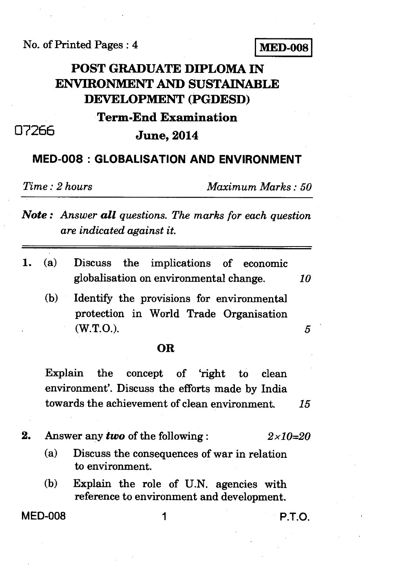No. of Printed Pages : 4 **MED-008** 

## **POST GRADUATE DIPLOMA IN ENVIRONMENT AND SUSTAINABLE DEVELOPMENT (PGDESD)**

### **Term-End Examination**

# 07266 **June, 2014**

### **MED-008 : GLOBALISATION AND ENVIRONMENT**

*Time : 2 hours Maximum Marks : 50* 

*Note : Answer all questions. The marks for each question are indicated against it.* 

- *1. (a)* Discuss the implications of economic globalisation on environmental change. *10* 
	- (b) Identify the provisions for environmental protection in World Trade Organisation  $(W.T.O.).$

#### **OR**

Explain the concept of 'right to clean environment'. Discuss the efforts made by India towards the achievement of clean environment. *15* 

- 2. Answer any *two* of the following :  $2 \times 10 = 20$ 
	- (a) Discuss the consequences of war in relation to environment.
	- (b) Explain the role of U.N. agencies with reference to environment and development.

 $MED-008$  1 P.T.O.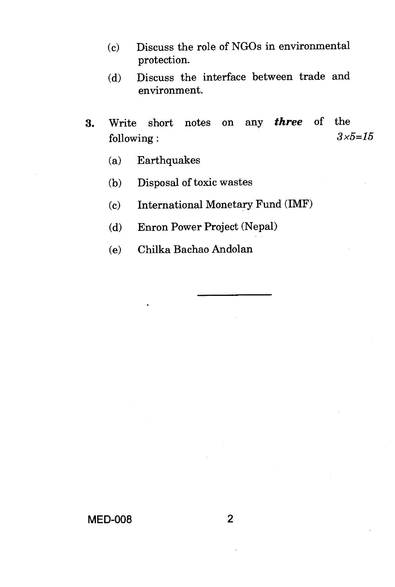- (c) Discuss the role of NGOs in environmental protection.
- (d) Discuss the interface between trade and environment.
- **3.** Write short notes on any *three* of the following :  $3 \times 5=15$ 
	- (a) Earthquakes
	- (b) Disposal of toxic wastes
	- (c) International Monetary Fund (IMF)
	- (d) Enron Power Project (Nepal)
	- (e) Chilka Bachao Andolan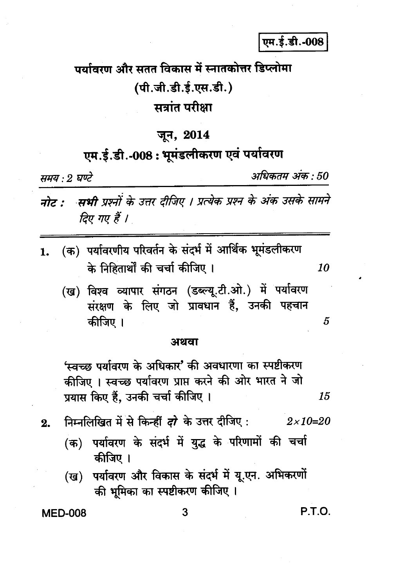## एम.ई.डी.-008

# पर्यावरण और सतत विकास में स्नातकोत्तर डिप्लोमा (पी.जी.डी.ई.एस.डी.) सत्रांत परीक्षा

### जून, 2014

# एम.ई.डी.-008 : भूमंडलीकरण एवं पर्यावरण

समय : 2 घण्टे

अधिकतम अंक : 50

- नोट : सभी प्रश्नों के उत्तर दीजिए । प्रत्येक प्रश्न के अंक उसके सामने दिए गए हैं ।
- (क) पर्यावरणीय परिवर्तन के संदर्भ में आर्थिक भूमंडलीकरण 1. के निहितार्थों की चर्चा कीजिए । 10
	- (ख) विश्व व्यापार संगठन (डब्ल्यू.टी.ओ.) में पर्यावरण संरक्षण के लिए जो प्रावधान हैं, उनकी पहचान कीजिए ।

#### अथवा

'स्वच्छ पर्यावरण के अधिकार' की अवधारणा का स्पष्टीकरण कीजिए । स्वच्छ पर्यावरण प्राप्त करने की ओर भारत ने जो प्रयास किए हैं, उनकी चर्चा कीजिए । 15

- निम्नलिखित में से किन्हीं *दो* के उत्तर दीजिए :  $2 \times 10 = 20$  $2.$ 
	- (क) पर्यावरण के संदर्भ में युद्ध के परिणामों की चर्चा कीजिए ।
	- पर्यावरण और विकास के संदर्भ में यू.एन. अभिकरणों (ख) की भूमिका का स्पष्टीकरण कीजिए ।

#### **MED-008**

P.T.O.

5